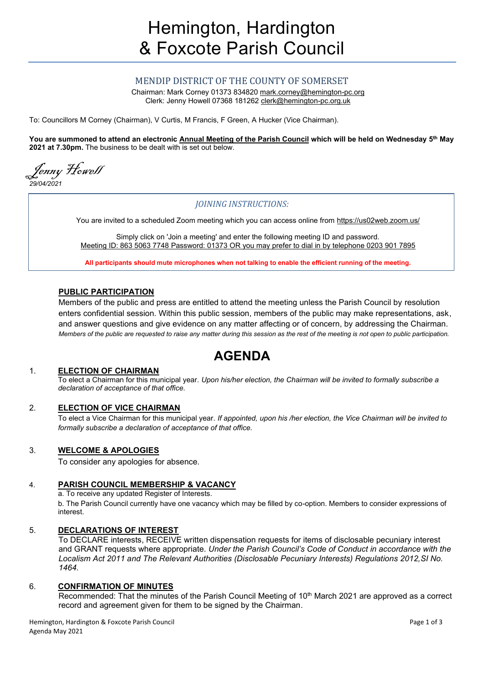## MENDIP DISTRICT OF THE COUNTY OF SOMERSET

Chairman: Mark Corney 01373 834820 [mark.corney@hemington-pc.org](mailto:mark.corney@hemington-pc.org) Clerk: Jenny Howell 07368 181262 [clerk@hemington-pc.org.uk](mailto:clerk@hemington-pc.org.uk)

To: Councillors M Corney (Chairman), V Curtis, M Francis, F Green, A Hucker (Vice Chairman).

**You are summoned to attend an electronic Annual Meeting of the Parish Council which will be held on Wednesday 5 th May 2021 at 7.30pm.** The business to be dealt with is set out below.

Jenny Howell *29/04/2021*

## *JOINING INSTRUCTIONS:*

You are invited to a scheduled Zoom meeting which you can access online from https://us02web.zoom.us/

Simply click on 'Join a meeting' and enter the following meeting ID and password. Meeting ID: 863 5063 7748 Password: 01373 OR you may prefer to dial in by telephone 0203 901 7895

**All participants should mute microphones when not talking to enable the efficient running of the meeting.**

#### **PUBLIC PARTICIPATION**

Members of the public and press are entitled to attend the meeting unless the Parish Council by resolution enters confidential session. Within this public session, members of the public may make representations, ask, and answer questions and give evidence on any matter affecting or of concern, by addressing the Chairman. *Members of the public are requested to raise any matter during this session as the rest of the meeting is not open to public participation.*

# **AGENDA**

#### 1. **ELECTION OF CHAIRMAN**

To elect a Chairman for this municipal year. *Upon his/her election, the Chairman will be invited to formally subscribe a declaration of acceptance of that office.*

#### 2. **ELECTION OF VICE CHAIRMAN**

To elect a Vice Chairman for this municipal year. *If appointed, upon his /her election, the Vice Chairman will be invited to formally subscribe a declaration of acceptance of that office.*

#### 3. **WELCOME & APOLOGIES**

To consider any apologies for absence.

#### 4. **PARISH COUNCIL MEMBERSHIP & VACANCY**

a. To receive any updated Register of Interests. b. The Parish Council currently have one vacancy which may be filled by co-option. Members to consider expressions of interest.

#### 5. **DECLARATIONS OF INTEREST**

To DECLARE interests, RECEIVE written dispensation requests for items of disclosable pecuniary interest and GRANT requests where appropriate. *Under the Parish Council's Code of Conduct in accordance with the Localism Act 2011 and The Relevant Authorities (Disclosable Pecuniary Interests) Regulations 2012,SI No. 1464.*

#### 6. **CONFIRMATION OF MINUTES**

Recommended: That the minutes of the Parish Council Meeting of 10<sup>th</sup> March 2021 are approved as a correct record and agreement given for them to be signed by the Chairman.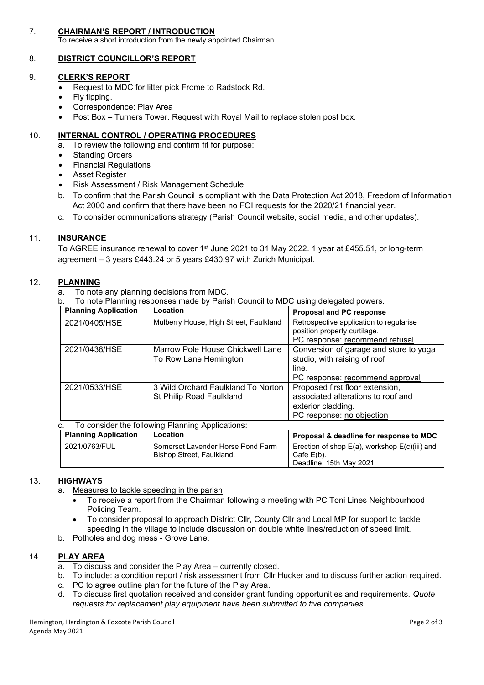### 7. **CHAIRMAN'S REPORT / INTRODUCTION**

To receive a short introduction from the newly appointed Chairman.

#### 8. **DISTRICT COUNCILLOR'S REPORT**

#### 9. **CLERK'S REPORT**

- Request to MDC for litter pick Frome to Radstock Rd.
- Fly tipping.
- Correspondence: Play Area
- Post Box Turners Tower. Request with Royal Mail to replace stolen post box.

#### 10. **INTERNAL CONTROL / OPERATING PROCEDURES**

- a. To review the following and confirm fit for purpose:
- Standing Orders
- Financial Regulations
- Asset Register
- Risk Assessment / Risk Management Schedule
- b. To confirm that the Parish Council is compliant with the Data Protection Act 2018, Freedom of Information Act 2000 and confirm that there have been no FOI requests for the 2020/21 financial year.
- c. To consider communications strategy (Parish Council website, social media, and other updates).

#### 11. **INSURANCE**

To AGREE insurance renewal to cover 1<sup>st</sup> June 2021 to 31 May 2022. 1 year at £455.51, or long-term agreement – 3 years £443.24 or 5 years £430.97 with Zurich Municipal.

#### 12. **PLANNING**

a. To note any planning decisions from MDC.

b. To note Planning responses made by Parish Council to MDC using delegated powers.

| <b>Planning Application</b>                            | Location                                                  | <b>Proposal and PC response</b>                                         |  |  |  |
|--------------------------------------------------------|-----------------------------------------------------------|-------------------------------------------------------------------------|--|--|--|
| 2021/0405/HSE                                          | Mulberry House, High Street, Faulkland                    | Retrospective application to regularise<br>position property curtilage. |  |  |  |
|                                                        |                                                           | PC response: recommend refusal                                          |  |  |  |
| 2021/0438/HSE                                          | Marrow Pole House Chickwell Lane<br>To Row Lane Hemington | Conversion of garage and store to yoga<br>studio, with raising of roof  |  |  |  |
|                                                        |                                                           | line.                                                                   |  |  |  |
|                                                        |                                                           | PC response: recommend approval                                         |  |  |  |
| 2021/0533/HSE                                          | 3 Wild Orchard Faulkland To Norton                        | Proposed first floor extension,                                         |  |  |  |
|                                                        | St Philip Road Faulkland                                  | associated alterations to roof and                                      |  |  |  |
|                                                        |                                                           | exterior cladding.                                                      |  |  |  |
|                                                        |                                                           | PC response: no objection                                               |  |  |  |
| To consider the following Planning Applications:<br>C. |                                                           |                                                                         |  |  |  |
| <b>Planning Application</b>                            | Location                                                  | Proposal & deadline for response to MDC                                 |  |  |  |
| 2021/0763/FUL                                          | Somerset Lavender Horse Pond Farm                         | Erection of shop E(a), workshop E(c)(iii) and                           |  |  |  |
|                                                        | Bishop Street, Faulkland.                                 | Cafe $E(b)$ .                                                           |  |  |  |
|                                                        |                                                           | Deadline: 15th May 2021                                                 |  |  |  |

#### 13. **HIGHWAYS**

- a. Measures to tackle speeding in the parish
	- To receive a report from the Chairman following a meeting with PC Toni Lines Neighbourhood Policing Team.
	- To consider proposal to approach District Cllr, County Cllr and Local MP for support to tackle speeding in the village to include discussion on double white lines/reduction of speed limit.
- b. Potholes and dog mess Grove Lane.

#### 14. **PLAY AREA**

- a. To discuss and consider the Play Area currently closed.
- b. To include: a condition report / risk assessment from Cllr Hucker and to discuss further action required.
- c. PC to agree outline plan for the future of the Play Area.
- d. To discuss first quotation received and consider grant funding opportunities and requirements. *Quote requests for replacement play equipment have been submitted to five companies.*

Hemington, Hardington & Foxcote Parish Council **According to the Council** Page 2 of 3 Agenda May 2021